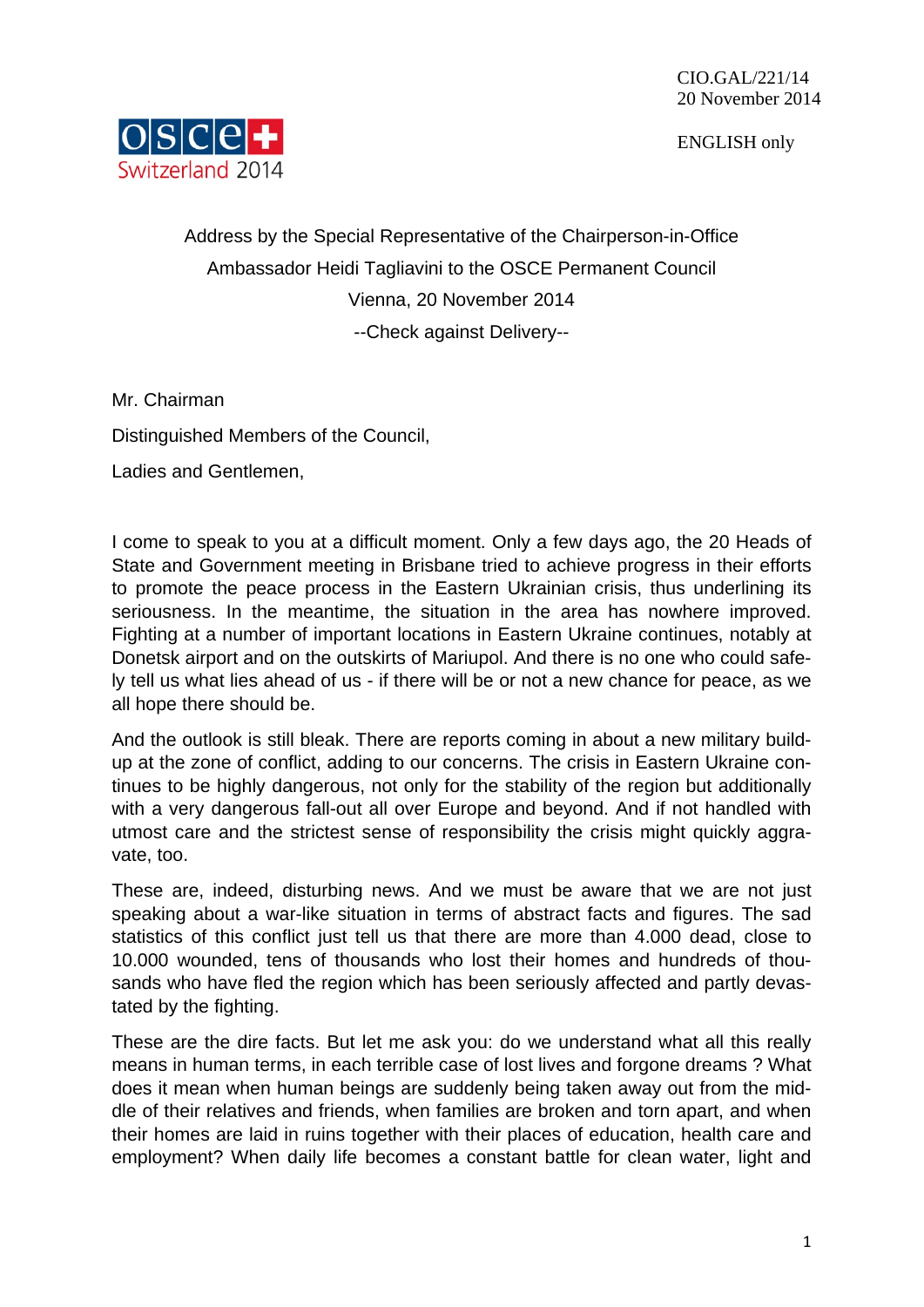ENGLISH only



Address by the Special Representative of the Chairperson-in-Office Ambassador Heidi Tagliavini to the OSCE Permanent Council Vienna, 20 November 2014 --Check against Delivery--

Mr. Chairman Distinguished Members of the Council, Ladies and Gentlemen,

I come to speak to you at a difficult moment. Only a few days ago, the 20 Heads of State and Government meeting in Brisbane tried to achieve progress in their efforts to promote the peace process in the Eastern Ukrainian crisis, thus underlining its seriousness. In the meantime, the situation in the area has nowhere improved. Fighting at a number of important locations in Eastern Ukraine continues, notably at Donetsk airport and on the outskirts of Mariupol. And there is no one who could safely tell us what lies ahead of us - if there will be or not a new chance for peace, as we all hope there should be.

And the outlook is still bleak. There are reports coming in about a new military buildup at the zone of conflict, adding to our concerns. The crisis in Eastern Ukraine continues to be highly dangerous, not only for the stability of the region but additionally with a very dangerous fall-out all over Europe and beyond. And if not handled with utmost care and the strictest sense of responsibility the crisis might quickly aggravate, too.

These are, indeed, disturbing news. And we must be aware that we are not just speaking about a war-like situation in terms of abstract facts and figures. The sad statistics of this conflict just tell us that there are more than 4.000 dead, close to 10.000 wounded, tens of thousands who lost their homes and hundreds of thousands who have fled the region which has been seriously affected and partly devastated by the fighting.

These are the dire facts. But let me ask you: do we understand what all this really means in human terms, in each terrible case of lost lives and forgone dreams ? What does it mean when human beings are suddenly being taken away out from the middle of their relatives and friends, when families are broken and torn apart, and when their homes are laid in ruins together with their places of education, health care and employment? When daily life becomes a constant battle for clean water, light and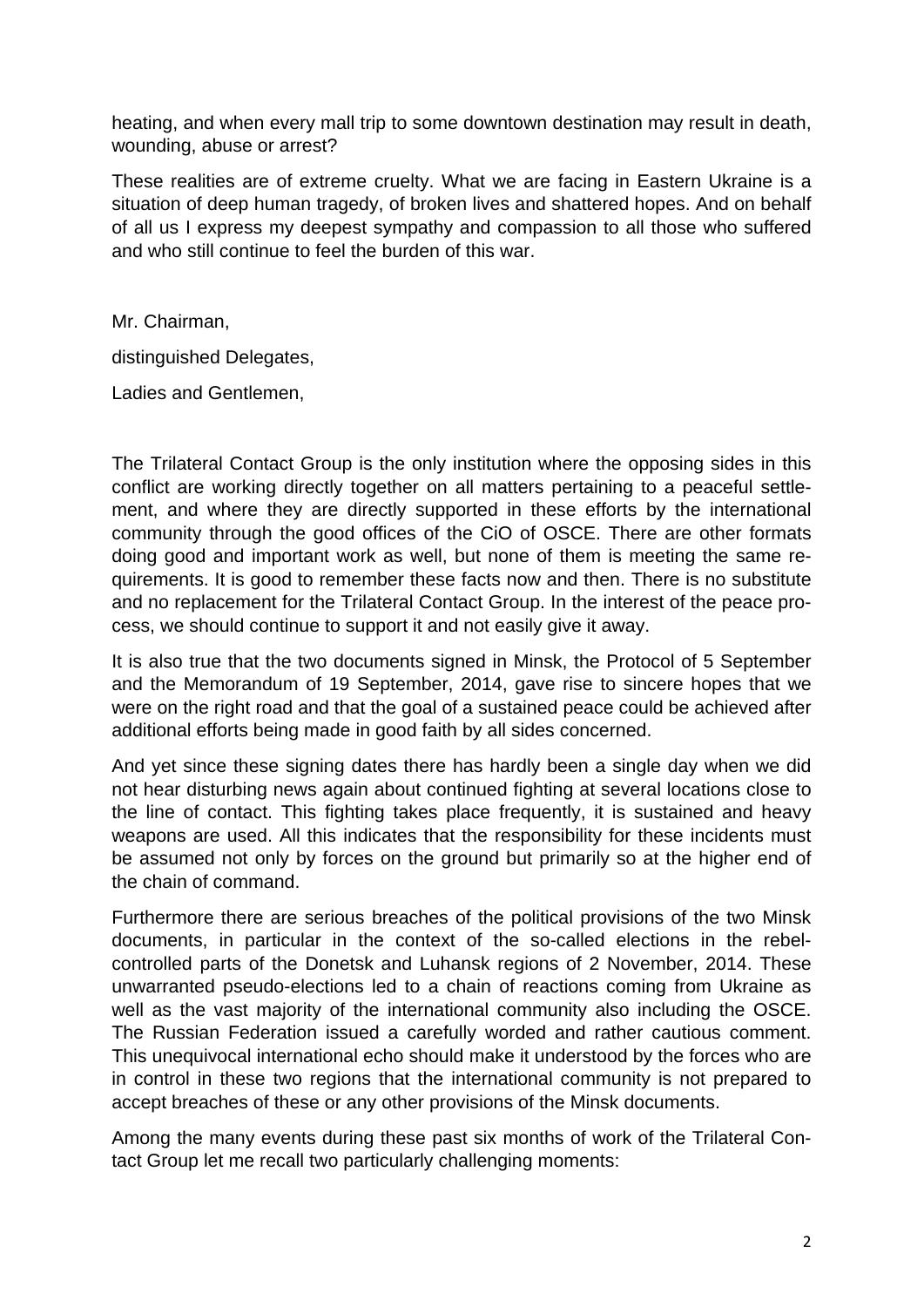heating, and when every mall trip to some downtown destination may result in death, wounding, abuse or arrest?

These realities are of extreme cruelty. What we are facing in Eastern Ukraine is a situation of deep human tragedy, of broken lives and shattered hopes. And on behalf of all us I express my deepest sympathy and compassion to all those who suffered and who still continue to feel the burden of this war.

Mr. Chairman,

distinguished Delegates,

Ladies and Gentlemen,

The Trilateral Contact Group is the only institution where the opposing sides in this conflict are working directly together on all matters pertaining to a peaceful settlement, and where they are directly supported in these efforts by the international community through the good offices of the CiO of OSCE. There are other formats doing good and important work as well, but none of them is meeting the same requirements. It is good to remember these facts now and then. There is no substitute and no replacement for the Trilateral Contact Group. In the interest of the peace process, we should continue to support it and not easily give it away.

It is also true that the two documents signed in Minsk, the Protocol of 5 September and the Memorandum of 19 September, 2014, gave rise to sincere hopes that we were on the right road and that the goal of a sustained peace could be achieved after additional efforts being made in good faith by all sides concerned.

And yet since these signing dates there has hardly been a single day when we did not hear disturbing news again about continued fighting at several locations close to the line of contact. This fighting takes place frequently, it is sustained and heavy weapons are used. All this indicates that the responsibility for these incidents must be assumed not only by forces on the ground but primarily so at the higher end of the chain of command.

Furthermore there are serious breaches of the political provisions of the two Minsk documents, in particular in the context of the so-called elections in the rebelcontrolled parts of the Donetsk and Luhansk regions of 2 November, 2014. These unwarranted pseudo-elections led to a chain of reactions coming from Ukraine as well as the vast majority of the international community also including the OSCE. The Russian Federation issued a carefully worded and rather cautious comment. This unequivocal international echo should make it understood by the forces who are in control in these two regions that the international community is not prepared to accept breaches of these or any other provisions of the Minsk documents.

Among the many events during these past six months of work of the Trilateral Contact Group let me recall two particularly challenging moments: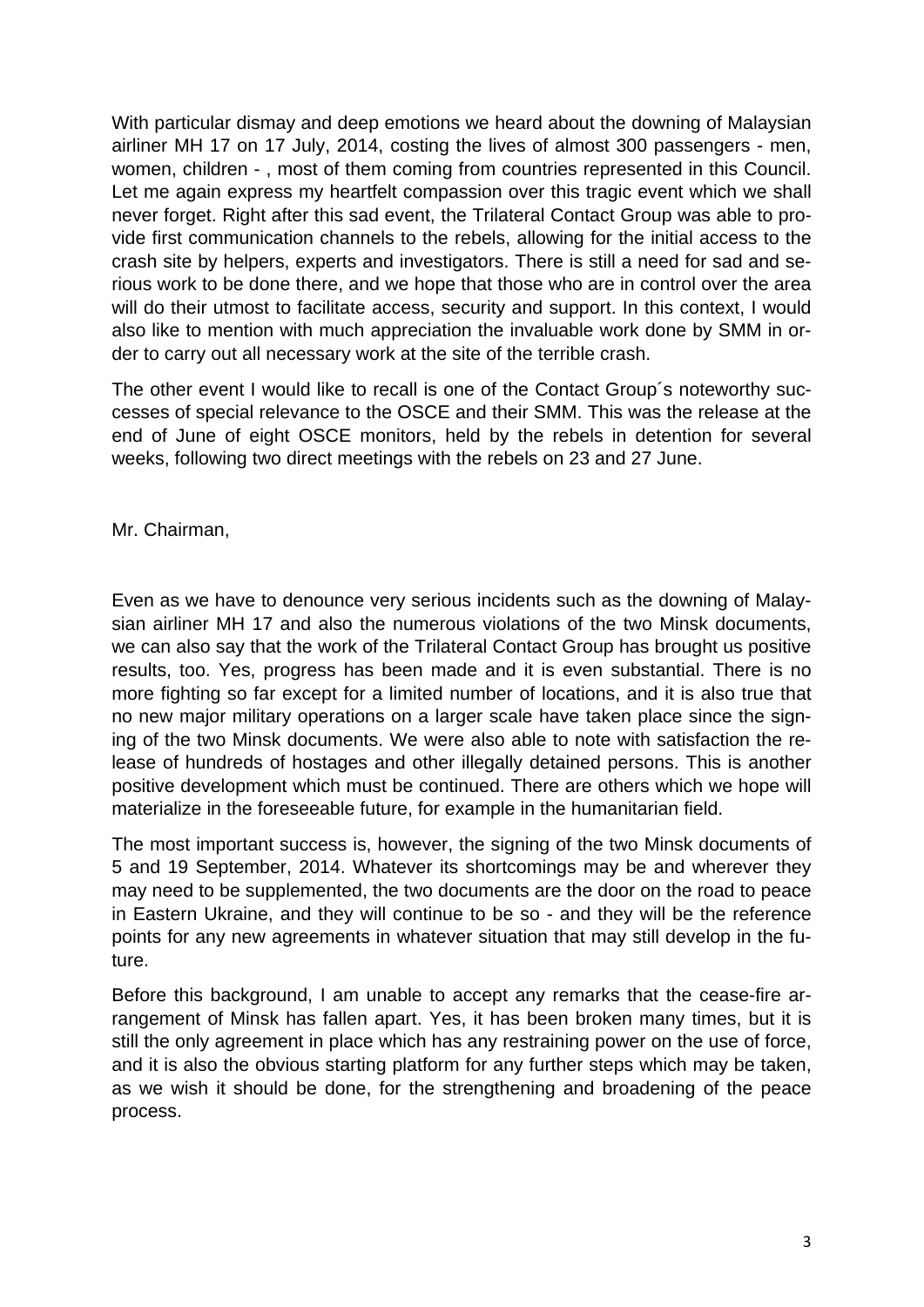With particular dismay and deep emotions we heard about the downing of Malaysian airliner MH 17 on 17 July, 2014, costing the lives of almost 300 passengers - men, women, children - , most of them coming from countries represented in this Council. Let me again express my heartfelt compassion over this tragic event which we shall never forget. Right after this sad event, the Trilateral Contact Group was able to provide first communication channels to the rebels, allowing for the initial access to the crash site by helpers, experts and investigators. There is still a need for sad and serious work to be done there, and we hope that those who are in control over the area will do their utmost to facilitate access, security and support. In this context, I would also like to mention with much appreciation the invaluable work done by SMM in order to carry out all necessary work at the site of the terrible crash.

The other event I would like to recall is one of the Contact Group´s noteworthy successes of special relevance to the OSCE and their SMM. This was the release at the end of June of eight OSCE monitors, held by the rebels in detention for several weeks, following two direct meetings with the rebels on 23 and 27 June.

Mr. Chairman,

Even as we have to denounce very serious incidents such as the downing of Malaysian airliner MH 17 and also the numerous violations of the two Minsk documents, we can also say that the work of the Trilateral Contact Group has brought us positive results, too. Yes, progress has been made and it is even substantial. There is no more fighting so far except for a limited number of locations, and it is also true that no new major military operations on a larger scale have taken place since the signing of the two Minsk documents. We were also able to note with satisfaction the release of hundreds of hostages and other illegally detained persons. This is another positive development which must be continued. There are others which we hope will materialize in the foreseeable future, for example in the humanitarian field.

The most important success is, however, the signing of the two Minsk documents of 5 and 19 September, 2014. Whatever its shortcomings may be and wherever they may need to be supplemented, the two documents are the door on the road to peace in Eastern Ukraine, and they will continue to be so - and they will be the reference points for any new agreements in whatever situation that may still develop in the future.

Before this background, I am unable to accept any remarks that the cease-fire arrangement of Minsk has fallen apart. Yes, it has been broken many times, but it is still the only agreement in place which has any restraining power on the use of force, and it is also the obvious starting platform for any further steps which may be taken, as we wish it should be done, for the strengthening and broadening of the peace process.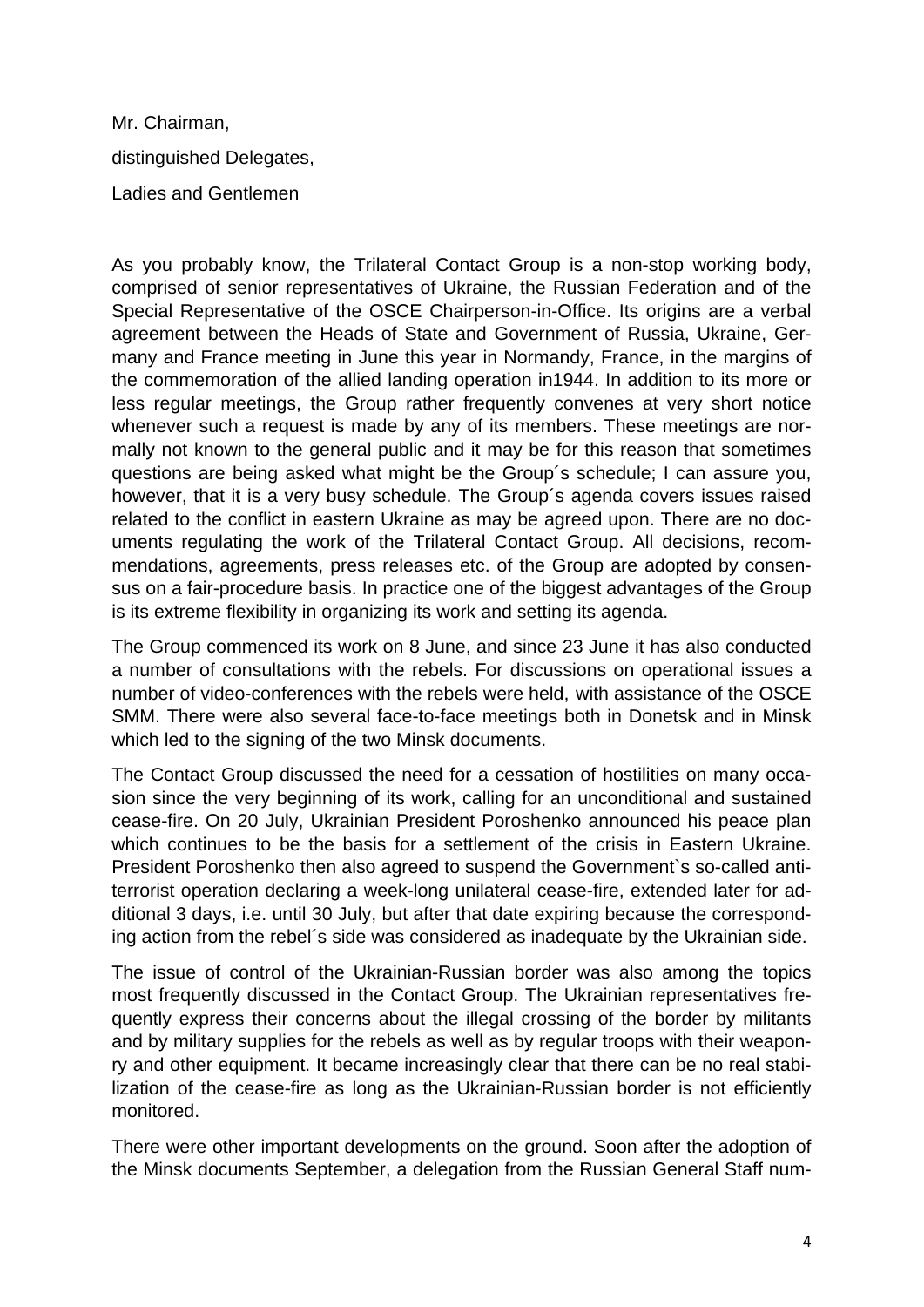Mr. Chairman, distinguished Delegates, Ladies and Gentlemen

As you probably know, the Trilateral Contact Group is a non-stop working body, comprised of senior representatives of Ukraine, the Russian Federation and of the Special Representative of the OSCE Chairperson-in-Office. Its origins are a verbal agreement between the Heads of State and Government of Russia, Ukraine, Germany and France meeting in June this year in Normandy, France, in the margins of the commemoration of the allied landing operation in1944. In addition to its more or less regular meetings, the Group rather frequently convenes at very short notice whenever such a request is made by any of its members. These meetings are normally not known to the general public and it may be for this reason that sometimes questions are being asked what might be the Group´s schedule; I can assure you, however, that it is a very busy schedule. The Group´s agenda covers issues raised related to the conflict in eastern Ukraine as may be agreed upon. There are no documents regulating the work of the Trilateral Contact Group. All decisions, recommendations, agreements, press releases etc. of the Group are adopted by consensus on a fair-procedure basis. In practice one of the biggest advantages of the Group is its extreme flexibility in organizing its work and setting its agenda.

The Group commenced its work on 8 June, and since 23 June it has also conducted a number of consultations with the rebels. For discussions on operational issues a number of video-conferences with the rebels were held, with assistance of the OSCE SMM. There were also several face-to-face meetings both in Donetsk and in Minsk which led to the signing of the two Minsk documents.

The Contact Group discussed the need for a cessation of hostilities on many occasion since the very beginning of its work, calling for an unconditional and sustained cease-fire. On 20 July, Ukrainian President Poroshenko announced his peace plan which continues to be the basis for a settlement of the crisis in Eastern Ukraine. President Poroshenko then also agreed to suspend the Government`s so-called antiterrorist operation declaring a week-long unilateral cease-fire, extended later for additional 3 days, i.e. until 30 July, but after that date expiring because the corresponding action from the rebel´s side was considered as inadequate by the Ukrainian side.

The issue of control of the Ukrainian-Russian border was also among the topics most frequently discussed in the Contact Group. The Ukrainian representatives frequently express their concerns about the illegal crossing of the border by militants and by military supplies for the rebels as well as by regular troops with their weaponry and other equipment. It became increasingly clear that there can be no real stabilization of the cease-fire as long as the Ukrainian-Russian border is not efficiently monitored.

There were other important developments on the ground. Soon after the adoption of the Minsk documents September, a delegation from the Russian General Staff num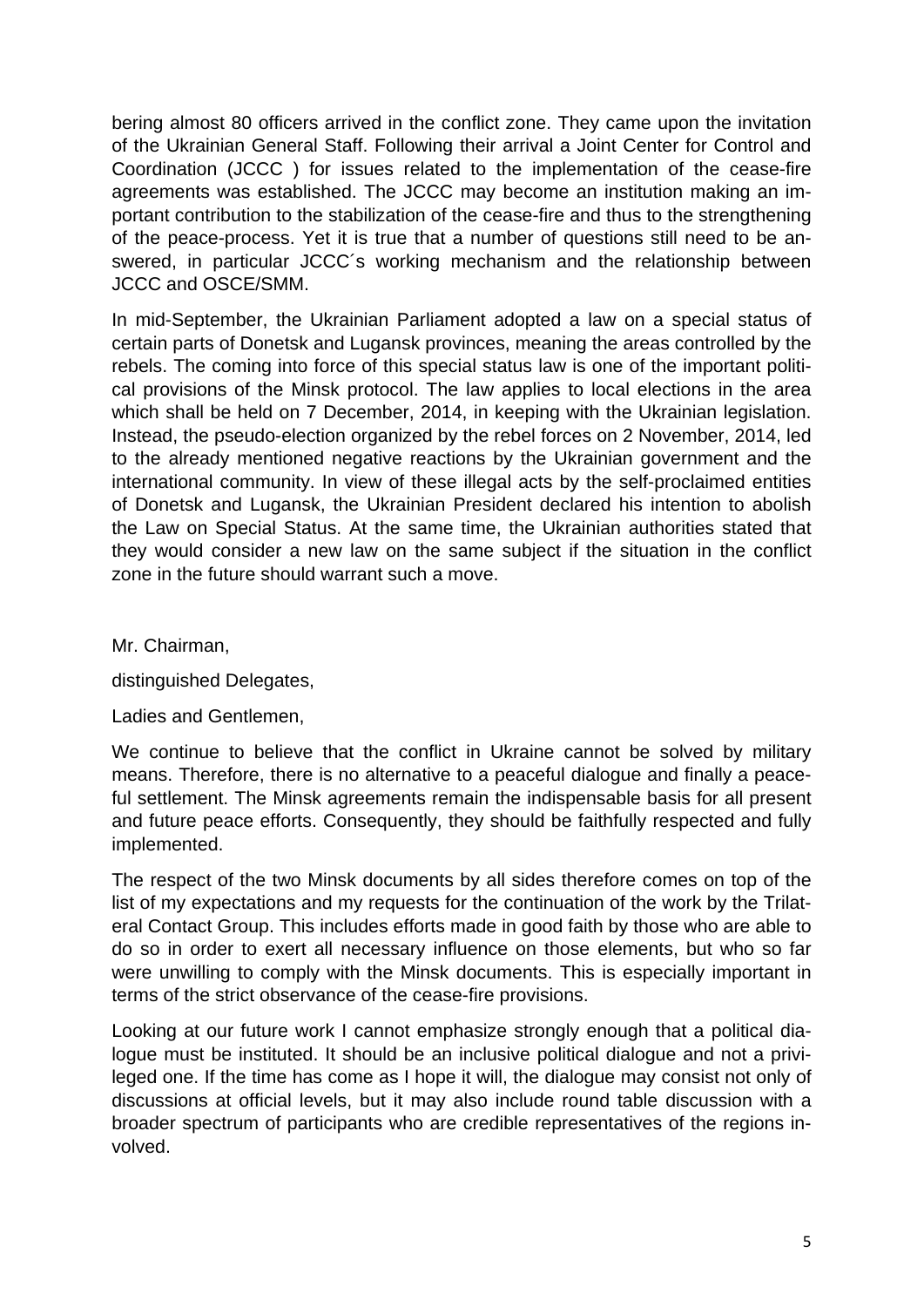bering almost 80 officers arrived in the conflict zone. They came upon the invitation of the Ukrainian General Staff. Following their arrival a Joint Center for Control and Coordination (JCCC ) for issues related to the implementation of the cease-fire agreements was established. The JCCC may become an institution making an important contribution to the stabilization of the cease-fire and thus to the strengthening of the peace-process. Yet it is true that a number of questions still need to be answered, in particular JCCC´s working mechanism and the relationship between JCCC and OSCE/SMM.

In mid-September, the Ukrainian Parliament adopted a law on a special status of certain parts of Donetsk and Lugansk provinces, meaning the areas controlled by the rebels. The coming into force of this special status law is one of the important political provisions of the Minsk protocol. The law applies to local elections in the area which shall be held on 7 December, 2014, in keeping with the Ukrainian legislation. Instead, the pseudo-election organized by the rebel forces on 2 November, 2014, led to the already mentioned negative reactions by the Ukrainian government and the international community. In view of these illegal acts by the self-proclaimed entities of Donetsk and Lugansk, the Ukrainian President declared his intention to abolish the Law on Special Status. At the same time, the Ukrainian authorities stated that they would consider a new law on the same subject if the situation in the conflict zone in the future should warrant such a move.

Mr. Chairman,

distinguished Delegates,

Ladies and Gentlemen,

We continue to believe that the conflict in Ukraine cannot be solved by military means. Therefore, there is no alternative to a peaceful dialogue and finally a peaceful settlement. The Minsk agreements remain the indispensable basis for all present and future peace efforts. Consequently, they should be faithfully respected and fully implemented.

The respect of the two Minsk documents by all sides therefore comes on top of the list of my expectations and my requests for the continuation of the work by the Trilateral Contact Group. This includes efforts made in good faith by those who are able to do so in order to exert all necessary influence on those elements, but who so far were unwilling to comply with the Minsk documents. This is especially important in terms of the strict observance of the cease-fire provisions.

Looking at our future work I cannot emphasize strongly enough that a political dialogue must be instituted. It should be an inclusive political dialogue and not a privileged one. If the time has come as I hope it will, the dialogue may consist not only of discussions at official levels, but it may also include round table discussion with a broader spectrum of participants who are credible representatives of the regions involved.